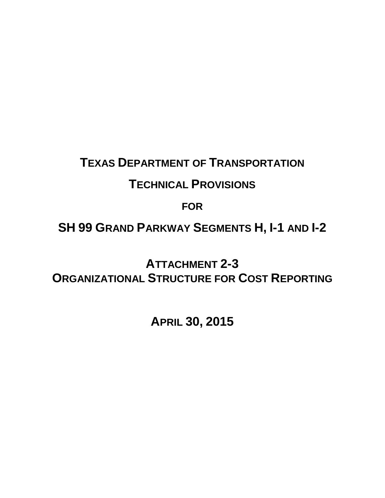## **TEXAS DEPARTMENT OF TRANSPORTATION**

## **TECHNICAL PROVISIONS**

**FOR**

# **SH 99 GRAND PARKWAY SEGMENTS H, I-1 AND I-2**

**ATTACHMENT 2-3 ORGANIZATIONAL STRUCTURE FOR COST REPORTING** 

**APRIL 30, 2015**